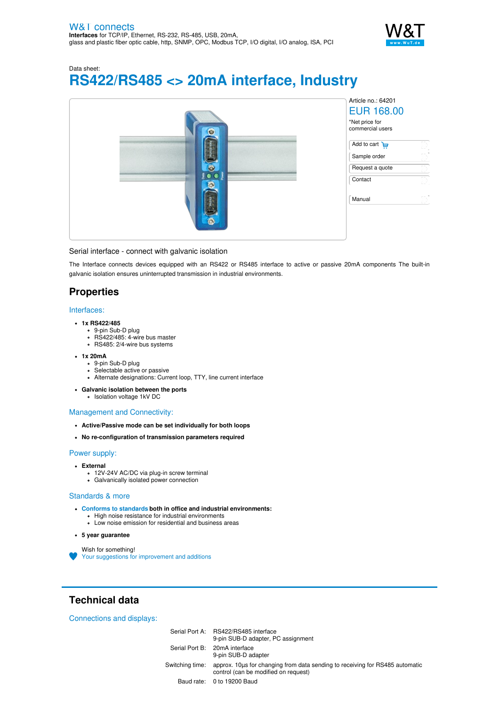

Data sheet: **RS422/RS485 <> 20mA interface, Industry**



#### Serial interface - connect with galvanic isolation

The Interface connects devices equipped with an RS422 or RS485 interface to active or passive 20mA components The built-in galvanic isolation ensures uninterrupted transmission in industrial environments.

### **Properties**

#### Interfaces:

- **1x RS422/485**
	- 9-pin Sub-D plug
	- RS422/485: 4-wire bus master RS485: 2/4-wire bus systems
	-
- **1x 20mA**
	- 9-pin Sub-D plug
	- Selectable active or passive
	- Alternate designations: Current loop, TTY, line current interface
- **Galvanic isolation between the ports**

## Isolation voltage 1kV DC

#### Management and Connectivity:

- **Active/Passive mode can be set individually for both loops**
- **No re-configuration of transmission parameters required**

### Power supply:

- **External**
	- 12V-24V AC/DC via plug-in screw terminal
	- Galvanically isolated power connection

#### Standards & more

- **Conforms to [standards](https://www.wut.de/download/ce/e-64201-10-rdus-000.pdf) both in office and industrial environments:**
	- High noise resistance for industrial environments
	- Low noise emission for residential and business areas
- **5 year guarantee**

Wish for something!

Your suggestions for [improvement](https://www.wut.de/e-wwwww-ws-orus-000.php?ArticleNr=64201) and additions

# **Technical data**

Connections and displays:

| Serial Port A: RS422/RS485 interface<br>9-pin SUB-D adapter, PC assignment                                                           |
|--------------------------------------------------------------------------------------------------------------------------------------|
| Serial Port B: 20mA interface<br>9-pin SUB-D adapter                                                                                 |
| Switching time: approx. 10us for changing from data sending to receiving for RS485 automatic<br>control (can be modified on request) |
| Baud rate: 0 to 19200 Baud                                                                                                           |